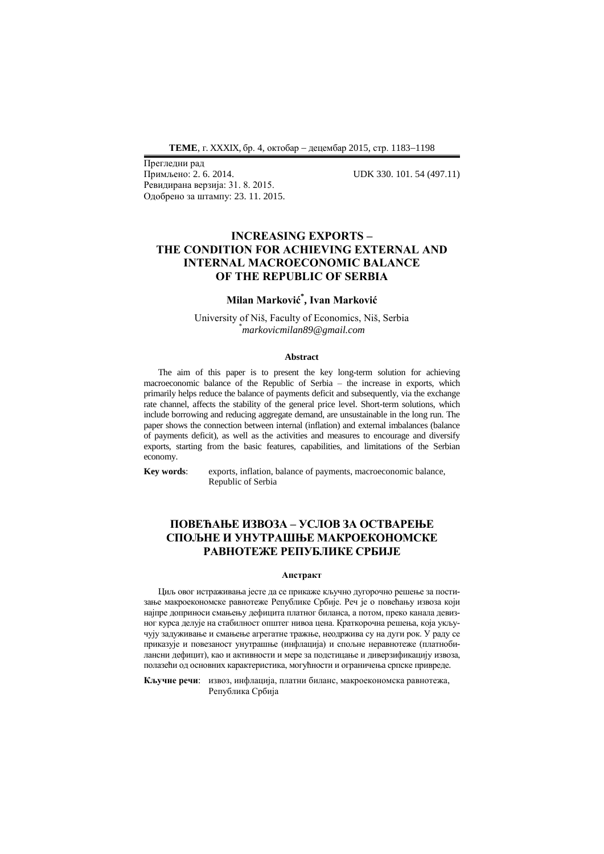Прегледни рад Ревидирана верзија: 31. 8. 2015. Одобрено за штампу: 23. 11. 2015.

Примљено: 2. 6. 2014. UDK 330. 101. 54 (497.11)

# **INCREASING EXPORTS – THE CONDITION FOR ACHIEVING EXTERNAL AND INTERNAL MACROECONOMIC BALANCE OF THE REPUBLIC OF SERBIA**

# **Milan Marković\* , Ivan Marković**

University of Niš, Faculty of Economics, Niš, Serbia \**markovicmilan89@gmail.com*

#### **Abstract**

The aim of this paper is to present the key long-term solution for achieving macroeconomic balance of the Republic of Serbia – the increase in exports, which primarily helps reduce the balance of payments deficit and subsequently, via the exchange rate channel, affects the stability of the general price level. Short-term solutions, which include borrowing and reducing aggregate demand, are unsustainable in the long run. The paper shows the connection between internal (inflation) and external imbalances (balance of payments deficit), as well as the activities and measures to encourage and diversify exports, starting from the basic features, capabilities, and limitations of the Serbian economy.

**Key words**: exports, inflation, balance of payments, macroeconomic balance, Republic of Serbia

# **ПОВЕЋАЊЕ ИЗВОЗА – УСЛОВ ЗА ОСТВАРЕЊЕ СПОЉНЕ И УНУТРАШЊЕ МАКРОЕКОНОМСКЕ РАВНОТЕЖЕ РЕПУБЛИКЕ СРБИЈЕ**

### **Апстракт**

Циљ овог истраживања јесте да се прикаже кључно дугорочно решење за постизање макроекономске равнотеже Републике Србије. Реч је о повећању извоза који најпре доприноси смањењу дефицита платног биланса, а потом, преко канала девизног курса делује на стабилност општег нивоа цена. Краткорочна решења, која укључују задуживање и смањење агрегатне тражње, неодржива су на дуги рок. У раду се приказује и повезаност унутрашње (инфлација) и спољне неравнотеже (платнобилансни дефицит), као и активности и мере за подстицање и диверзификацију извоза, полазећи од основних карактеристика, могућности и ограничења српске привреде.

**Кључне речи**: извоз, инфлација, платни биланс, макроекономска равнотежа, Република Србија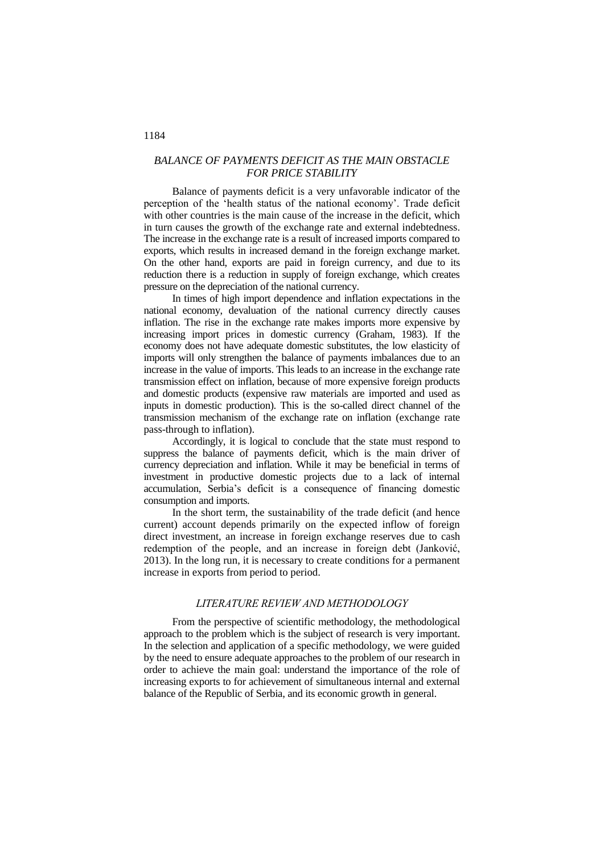## *BALANCE OF PAYMENTS DEFICIT AS THE MAIN OBSTACLE FOR PRICE STABILITY*

Balance of payments deficit is a very unfavorable indicator of the perception of the 'health status of the national economy'. Trade deficit with other countries is the main cause of the increase in the deficit, which in turn causes the growth of the exchange rate and external indebtedness. The increase in the exchange rate is a result of increased imports compared to exports, which results in increased demand in the foreign exchange market. On the other hand, exports are paid in foreign currency, and due to its reduction there is a reduction in supply of foreign exchange, which creates pressure on the depreciation of the national currency.

In times of high import dependence and inflation expectations in the national economy, devaluation of the national currency directly causes inflation. The rise in the exchange rate makes imports more expensive by increasing import prices in domestic currency (Graham, 1983). If the economy does not have adequate domestic substitutes, the low elasticity of imports will only strengthen the balance of payments imbalances due to an increase in the value of imports. This leads to an increase in the exchange rate transmission effect on inflation, because of more expensive foreign products and domestic products (expensive raw materials are imported and used as inputs in domestic production). This is the so-called direct channel of the transmission mechanism of the exchange rate on inflation (exchange rate pass-through to inflation).

Accordingly, it is logical to conclude that the state must respond to suppress the balance of payments deficit, which is the main driver of currency depreciation and inflation. While it may be beneficial in terms of investment in productive domestic projects due to a lack of internal accumulation, Serbia's deficit is a consequence of financing domestic consumption and imports.

In the short term, the sustainability of the trade deficit (and hence current) account depends primarily on the expected inflow of foreign direct investment, an increase in foreign exchange reserves due to cash redemption of the people, and an increase in foreign debt (Janković, 2013). In the long run, it is necessary to create conditions for a permanent increase in exports from period to period.

### *LITERATURE REVIEW AND METHODOLOGY*

From the perspective of scientific methodology, the methodological approach to the problem which is the subject of research is very important. In the selection and application of a specific methodology, we were guided by the need to ensure adequate approaches to the problem of our research in order to achieve the main goal: understand the importance of the role of increasing exports to for achievement of simultaneous internal and external balance of the Republic of Serbia, and its economic growth in general.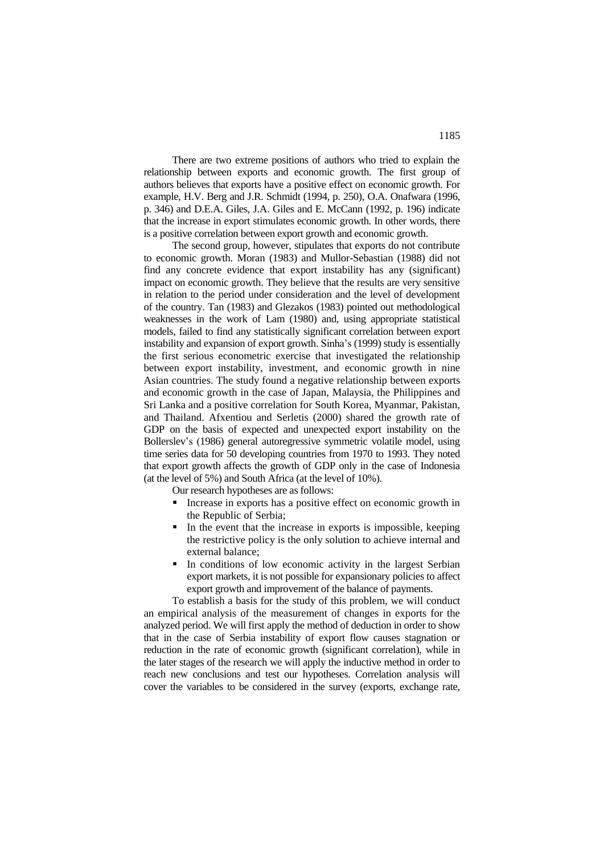There are two extreme positions of authors who tried to explain the relationship between exports and economic growth. The first group of authors believes that exports have a positive effect on economic growth. For example, H.V. Berg and J.R. Schmidt (1994, p. 250), O.A. Onafwara (1996, p. 346) and D.E.A. Giles, J.A. Giles and E. McCann (1992, p. 196) indicate that the increase in export stimulates economic growth. In other words, there is a positive correlation between export growth and economic growth.

The second group, however, stipulates that exports do not contribute to economic growth. Moran (1983) and Mullor-Sebastian (1988) did not find any concrete evidence that export instability has any (significant) impact on economic growth. They believe that the results are very sensitive in relation to the period under consideration and the level of development of the country. Tan (1983) and Glezakos (1983) pointed out methodological weaknesses in the work of Lam (1980) and, using appropriate statistical models, failed to find any statistically significant correlation between export instability and expansion of export growth. Sinha's (1999) study is essentially the first serious econometric exercise that investigated the relationship between export instability, investment, and economic growth in nine Asian countries. The study found a negative relationship between exports and economic growth in the case of Japan, Malaysia, the Philippines and Sri Lanka and a positive correlation for South Korea, Myanmar, Pakistan, and Thailand. Afxentiou and Serletis (2000) shared the growth rate of GDP on the basis of expected and unexpected export instability on the Bollerslev's (1986) general autoregressive symmetric volatile model, using time series data for 50 developing countries from 1970 to 1993. They noted that export growth affects the growth of GDP only in the case of Indonesia (at the level of 5%) and South Africa (at the level of 10%).

Our research hypotheses are as follows:

- **Increase in exports has a positive effect on economic growth in** the Republic of Serbia;
- In the event that the increase in exports is impossible, keeping the restrictive policy is the only solution to achieve internal and external balance;
- In conditions of low economic activity in the largest Serbian export markets, it is not possible for expansionary policies to affect export growth and improvement of the balance of payments.

To establish a basis for the study of this problem, we will conduct an empirical analysis of the measurement of changes in exports for the analyzed period. We will first apply the method of deduction in order to show that in the case of Serbia instability of export flow causes stagnation or reduction in the rate of economic growth (significant correlation), while in the later stages of the research we will apply the inductive method in order to reach new conclusions and test our hypotheses. Correlation analysis will cover the variables to be considered in the survey (exports, exchange rate,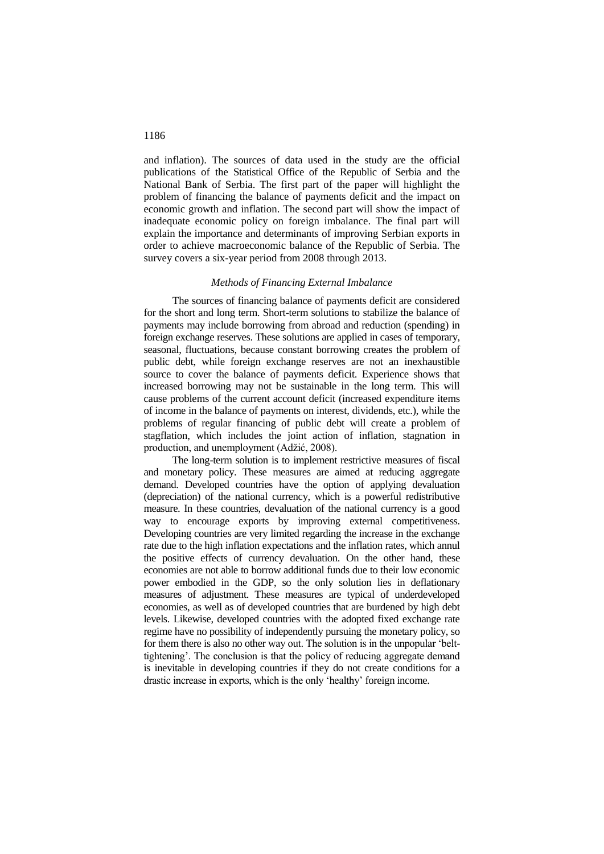and inflation). The sources of data used in the study are the official publications of the Statistical Office of the Republic of Serbia and the National Bank of Serbia. The first part of the paper will highlight the problem of financing the balance of payments deficit and the impact on economic growth and inflation. The second part will show the impact of inadequate economic policy on foreign imbalance. The final part will explain the importance and determinants of improving Serbian exports in order to achieve macroeconomic balance of the Republic of Serbia. The survey covers a six-year period from 2008 through 2013.

## *Methods of Financing External Imbalance*

The sources of financing balance of payments deficit are considered for the short and long term. Short-term solutions to stabilize the balance of payments may include borrowing from abroad and reduction (spending) in foreign exchange reserves. These solutions are applied in cases of temporary, seasonal, fluctuations, because constant borrowing creates the problem of public debt, while foreign exchange reserves are not an inexhaustible source to cover the balance of payments deficit. Experience shows that increased borrowing may not be sustainable in the long term. This will cause problems of the current account deficit (increased expenditure items of income in the balance of payments on interest, dividends, etc.), while the problems of regular financing of public debt will create a problem of stagflation, which includes the joint action of inflation, stagnation in production, and unemployment (Adžić, 2008).

The long-term solution is to implement restrictive measures of fiscal and monetary policy. These measures are aimed at reducing aggregate demand. Developed countries have the option of applying devaluation (depreciation) of the national currency, which is a powerful redistributive measure. In these countries, devaluation of the national currency is a good way to encourage exports by improving external competitiveness. Developing countries are very limited regarding the increase in the exchange rate due to the high inflation expectations and the inflation rates, which annul the positive effects of currency devaluation. On the other hand, these economies are not able to borrow additional funds due to their low economic power embodied in the GDP, so the only solution lies in deflationary measures of adjustment. These measures are typical of underdeveloped economies, as well as of developed countries that are burdened by high debt levels. Likewise, developed countries with the adopted fixed exchange rate regime have no possibility of independently pursuing the monetary policy, so for them there is also no other way out. The solution is in the unpopular 'belttightening'. The conclusion is that the policy of reducing aggregate demand is inevitable in developing countries if they do not create conditions for a drastic increase in exports, which is the only 'healthy' foreign income.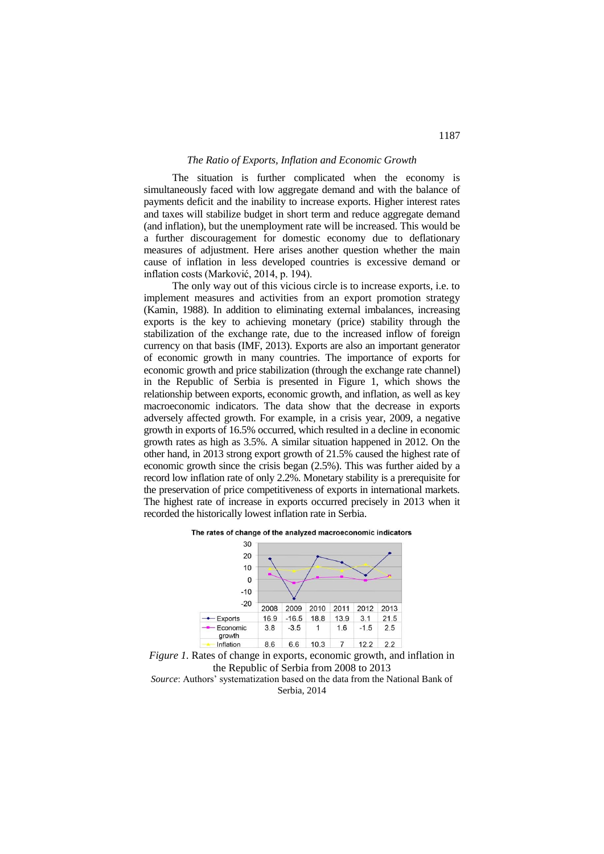### *The Ratio of Exports, Inflation and Economic Growth*

The situation is further complicated when the economy is simultaneously faced with low aggregate demand and with the balance of payments deficit and the inability to increase exports. Higher interest rates and taxes will stabilize budget in short term and reduce aggregate demand (and inflation), but the unemployment rate will be increased. This would be a further discouragement for domestic economy due to deflationary measures of adjustment. Here arises another question whether the main cause of inflation in less developed countries is excessive demand or inflation costs (Marković, 2014, p. 194).

The only way out of this vicious circle is to increase exports, i.e. to implement measures and activities from an export promotion strategy (Kamin, 1988). In addition to eliminating external imbalances, increasing exports is the key to achieving monetary (price) stability through the stabilization of the exchange rate, due to the increased inflow of foreign currency on that basis (IMF, 2013). Exports are also an important generator of economic growth in many countries. The importance of exports for economic growth and price stabilization (through the exchange rate channel) in the Republic of Serbia is presented in Figure 1, which shows the relationship between exports, economic growth, and inflation, as well as key macroeconomic indicators. The data show that the decrease in exports adversely affected growth. For example, in a crisis year, 2009, a negative growth in exports of 16.5% occurred, which resulted in a decline in economic growth rates as high as 3.5%. A similar situation happened in 2012. On the other hand, in 2013 strong export growth of 21.5% caused the highest rate of economic growth since the crisis began (2.5%). This was further aided by a record low inflation rate of only 2.2%. Monetary stability is a prerequisite for the preservation of price competitiveness of exports in international markets. The highest rate of increase in exports occurred precisely in 2013 when it recorded the historically lowest inflation rate in Serbia.





*Figure 1.* Rates of change in exports, economic growth, and inflation in the Republic of Serbia from 2008 to 2013 *Source*: Authors' systematization based on the data from the National Bank of Serbia, 2014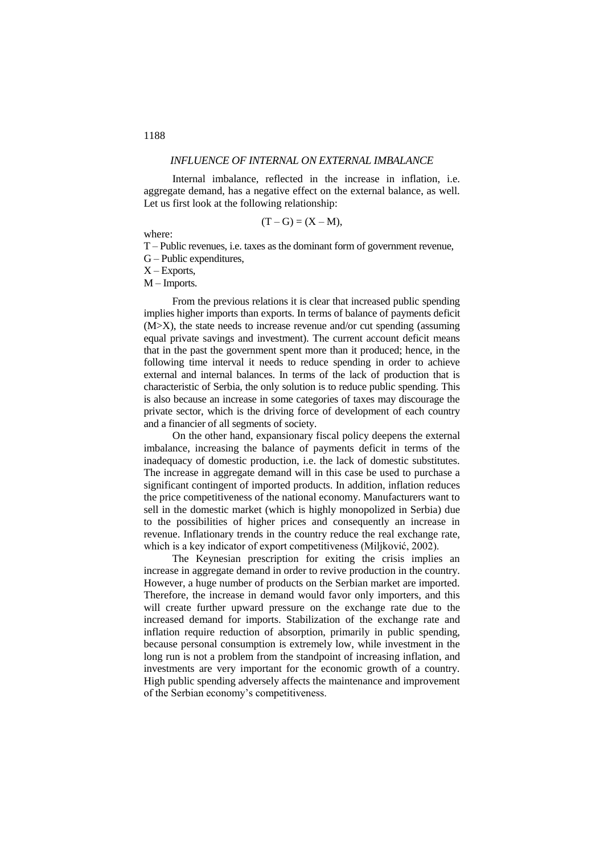## *INFLUENCE OF INTERNAL ON EXTERNAL IMBALANCE*

Internal imbalance, reflected in the increase in inflation, i.e. aggregate demand, has a negative effect on the external balance, as well. Let us first look at the following relationship:

$$
(T-G)=(X-M),
$$

where:

T – Public revenues, i.e. taxes as the dominant form of government revenue, G – Public expenditures,

 $X$  – Exports,

M – Imports.

From the previous relations it is clear that increased public spending implies higher imports than exports. In terms of balance of payments deficit (M>X), the state needs to increase revenue and/or cut spending (assuming equal private savings and investment). The current account deficit means that in the past the government spent more than it produced; hence, in the following time interval it needs to reduce spending in order to achieve external and internal balances. In terms of the lack of production that is characteristic of Serbia, the only solution is to reduce public spending. This is also because an increase in some categories of taxes may discourage the private sector, which is the driving force of development of each country and a financier of all segments of society.

On the other hand, expansionary fiscal policy deepens the external imbalance, increasing the balance of payments deficit in terms of the inadequacy of domestic production, i.e. the lack of domestic substitutes. The increase in aggregate demand will in this case be used to purchase a significant contingent of imported products. In addition, inflation reduces the price competitiveness of the national economy. Manufacturers want to sell in the domestic market (which is highly monopolized in Serbia) due to the possibilities of higher prices and consequently an increase in revenue. Inflationary trends in the country reduce the real exchange rate, which is a key indicator of export competitiveness (Miljković, 2002).

The Keynesian prescription for exiting the crisis implies an increase in aggregate demand in order to revive production in the country. However, a huge number of products on the Serbian market are imported. Therefore, the increase in demand would favor only importers, and this will create further upward pressure on the exchange rate due to the increased demand for imports. Stabilization of the exchange rate and inflation require reduction of absorption, primarily in public spending, because personal consumption is extremely low, while investment in the long run is not a problem from the standpoint of increasing inflation, and investments are very important for the economic growth of a country. High public spending adversely affects the maintenance and improvement of the Serbian economy's competitiveness.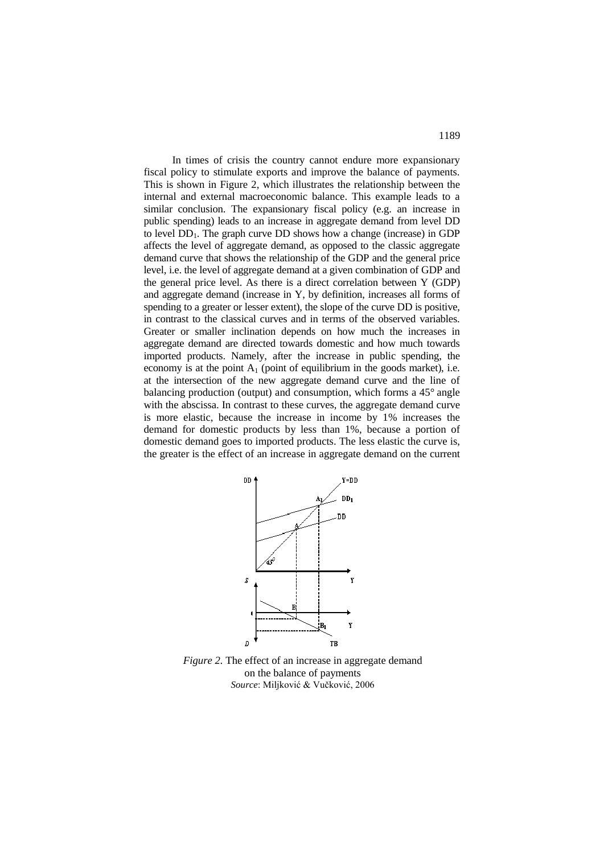In times of crisis the country cannot endure more expansionary fiscal policy to stimulate exports and improve the balance of payments. This is shown in Figure 2, which illustrates the relationship between the internal and external macroeconomic balance. This example leads to a similar conclusion. The expansionary fiscal policy (e.g. an increase in public spending) leads to an increase in aggregate demand from level DD to level  $DD_1$ . The graph curve DD shows how a change (increase) in GDP affects the level of aggregate demand, as opposed to the classic aggregate demand curve that shows the relationship of the GDP and the general price level, i.e. the level of aggregate demand at a given combination of GDP and the general price level. As there is a direct correlation between Y (GDP) and aggregate demand (increase in Y, by definition, increases all forms of spending to a greater or lesser extent), the slope of the curve DD is positive, in contrast to the classical curves and in terms of the observed variables. Greater or smaller inclination depends on how much the increases in aggregate demand are directed towards domestic and how much towards imported products. Namely, after the increase in public spending, the economy is at the point  $A_1$  (point of equilibrium in the goods market), i.e. at the intersection of the new aggregate demand curve and the line of balancing production (output) and consumption, which forms a 45° angle with the abscissa. In contrast to these curves, the aggregate demand curve is more elastic, because the increase in income by 1% increases the demand for domestic products by less than 1%, because a portion of domestic demand goes to imported products. The less elastic the curve is, the greater is the effect of an increase in aggregate demand on the current



*Figure 2.* The effect of an increase in aggregate demand on the balance of payments *Source*: Miljković & Vučković, 2006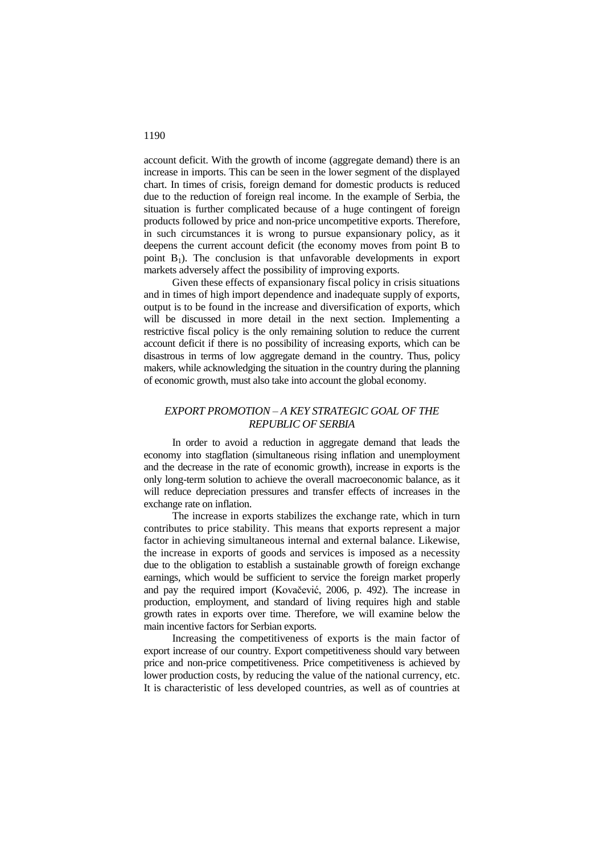account deficit. With the growth of income (aggregate demand) there is an increase in imports. This can be seen in the lower segment of the displayed chart. In times of crisis, foreign demand for domestic products is reduced due to the reduction of foreign real income. In the example of Serbia, the situation is further complicated because of a huge contingent of foreign products followed by price and non-price uncompetitive exports. Therefore, in such circumstances it is wrong to pursue expansionary policy, as it deepens the current account deficit (the economy moves from point B to point  $B_1$ ). The conclusion is that unfavorable developments in export markets adversely affect the possibility of improving exports.

Given these effects of expansionary fiscal policy in crisis situations and in times of high import dependence and inadequate supply of exports, output is to be found in the increase and diversification of exports, which will be discussed in more detail in the next section. Implementing a restrictive fiscal policy is the only remaining solution to reduce the current account deficit if there is no possibility of increasing exports, which can be disastrous in terms of low aggregate demand in the country. Thus, policy makers, while acknowledging the situation in the country during the planning of economic growth, must also take into account the global economy.

## *EXPORT PROMOTION – A KEY STRATEGIC GOAL OF THE REPUBLIC OF SERBIA*

In order to avoid a reduction in aggregate demand that leads the economy into stagflation (simultaneous rising inflation and unemployment and the decrease in the rate of economic growth), increase in exports is the only long-term solution to achieve the overall macroeconomic balance, as it will reduce depreciation pressures and transfer effects of increases in the exchange rate on inflation.

The increase in exports stabilizes the exchange rate, which in turn contributes to price stability. This means that exports represent a major factor in achieving simultaneous internal and external balance. Likewise, the increase in exports of goods and services is imposed as a necessity due to the obligation to establish a sustainable growth of foreign exchange earnings, which would be sufficient to service the foreign market properly and pay the required import (Kovačević, 2006, p. 492). The increase in production, employment, and standard of living requires high and stable growth rates in exports over time. Therefore, we will examine below the main incentive factors for Serbian exports.

Increasing the competitiveness of exports is the main factor of export increase of our country. Export competitiveness should vary between price and non-price competitiveness. Price competitiveness is achieved by lower production costs, by reducing the value of the national currency, etc. It is characteristic of less developed countries, as well as of countries at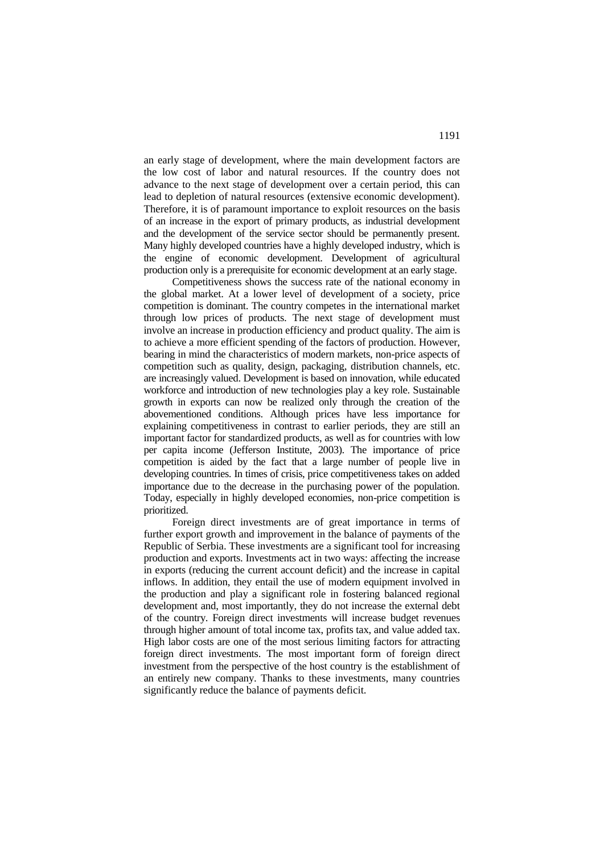an early stage of development, where the main development factors are the low cost of labor and natural resources. If the country does not advance to the next stage of development over a certain period, this can lead to depletion of natural resources (extensive economic development). Therefore, it is of paramount importance to exploit resources on the basis of an increase in the export of primary products, as industrial development and the development of the service sector should be permanently present. Many highly developed countries have a highly developed industry, which is the engine of economic development. Development of agricultural production only is a prerequisite for economic development at an early stage.

Competitiveness shows the success rate of the national economy in the global market. At a lower level of development of a society, price competition is dominant. The country competes in the international market through low prices of products. The next stage of development must involve an increase in production efficiency and product quality. The aim is to achieve a more efficient spending of the factors of production. However, bearing in mind the characteristics of modern markets, non-price aspects of competition such as quality, design, packaging, distribution channels, etc. are increasingly valued. Development is based on innovation, while educated workforce and introduction of new technologies play a key role. Sustainable growth in exports can now be realized only through the creation of the abovementioned conditions. Although prices have less importance for explaining competitiveness in contrast to earlier periods, they are still an important factor for standardized products, as well as for countries with low per capita income (Jefferson Institute, 2003). The importance of price competition is aided by the fact that a large number of people live in developing countries. In times of crisis, price competitiveness takes on added importance due to the decrease in the purchasing power of the population. Today, especially in highly developed economies, non-price competition is prioritized.

Foreign direct investments are of great importance in terms of further export growth and improvement in the balance of payments of the Republic of Serbia. These investments are a significant tool for increasing production and exports. Investments act in two ways: affecting the increase in exports (reducing the current account deficit) and the increase in capital inflows. In addition, they entail the use of modern equipment involved in the production and play a significant role in fostering balanced regional development and, most importantly, they do not increase the external debt of the country. Foreign direct investments will increase budget revenues through higher amount of total income tax, profits tax, and value added tax. High labor costs are one of the most serious limiting factors for attracting foreign direct investments. The most important form of foreign direct investment from the perspective of the host country is the establishment of an entirely new company. Thanks to these investments, many countries significantly reduce the balance of payments deficit.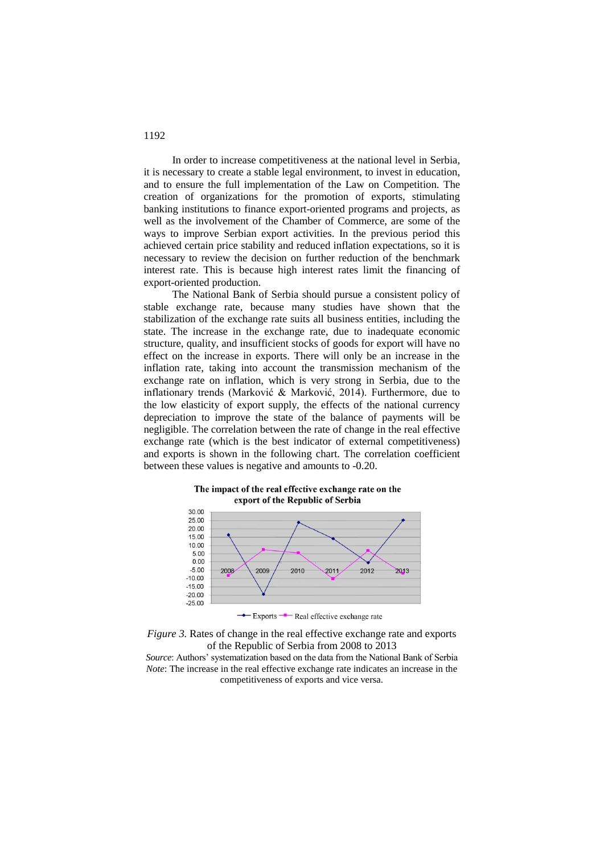In order to increase competitiveness at the national level in Serbia, it is necessary to create a stable legal environment, to invest in education, and to ensure the full implementation of the Law on Competition. The creation of organizations for the promotion of exports, stimulating banking institutions to finance export-oriented programs and projects, as well as the involvement of the Chamber of Commerce, are some of the ways to improve Serbian export activities. In the previous period this achieved certain price stability and reduced inflation expectations, so it is necessary to review the decision on further reduction of the benchmark interest rate. This is because high interest rates limit the financing of export-oriented production.

The National Bank of Serbia should pursue a consistent policy of stable exchange rate, because many studies have shown that the stabilization of the exchange rate suits all business entities, including the state. The increase in the exchange rate, due to inadequate economic structure, quality, and insufficient stocks of goods for export will have no effect on the increase in exports. There will only be an increase in the inflation rate, taking into account the transmission mechanism of the exchange rate on inflation, which is very strong in Serbia, due to the inflationary trends (Marković & Marković, 2014). Furthermore, due to the low elasticity of export supply, the effects of the national currency depreciation to improve the state of the balance of payments will be negligible. The correlation between the rate of change in the real effective exchange rate (which is the best indicator of external competitiveness) and exports is shown in the following chart. The correlation coefficient between these values is negative and amounts to -0.20.

### The impact of the real effective exchange rate on the export of the Republic of Serbia



<sup>-</sup> Exports - Real effective exchange rate

*Figure 3.* Rates of change in the real effective exchange rate and exports of the Republic of Serbia from 2008 to 2013

*Source*: Authors' systematization based on the data from the National Bank of Serbia *Note*: The increase in the real effective exchange rate indicates an increase in the competitiveness of exports and vice versa.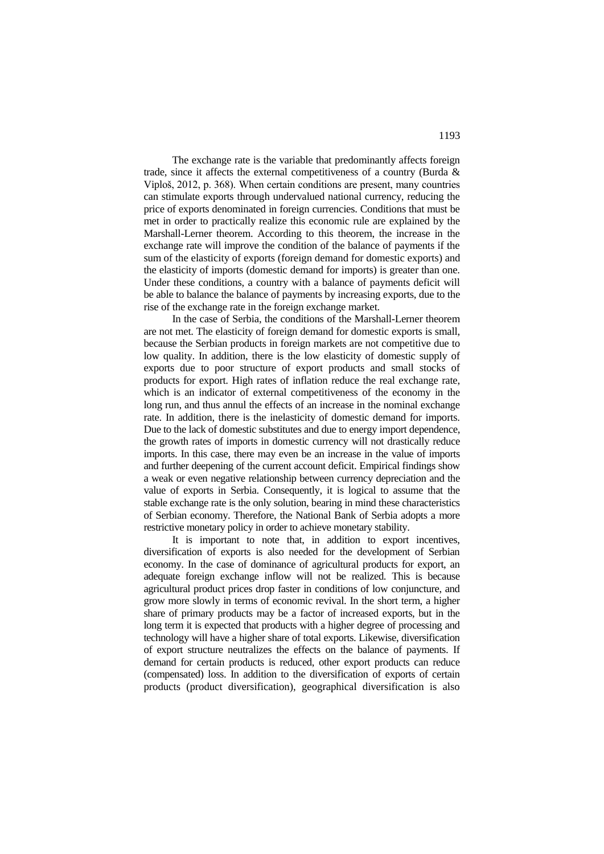The exchange rate is the variable that predominantly affects foreign trade, since it affects the external competitiveness of a country (Burda & Viploš, 2012, p. 368). When certain conditions are present, many countries can stimulate exports through undervalued national currency, reducing the price of exports denominated in foreign currencies. Conditions that must be met in order to practically realize this economic rule are explained by the Marshall-Lerner theorem. According to this theorem, the increase in the exchange rate will improve the condition of the balance of payments if the sum of the elasticity of exports (foreign demand for domestic exports) and the elasticity of imports (domestic demand for imports) is greater than one. Under these conditions, a country with a balance of payments deficit will be able to balance the balance of payments by increasing exports, due to the rise of the exchange rate in the foreign exchange market.

In the case of Serbia, the conditions of the Marshall-Lerner theorem are not met. The elasticity of foreign demand for domestic exports is small, because the Serbian products in foreign markets are not competitive due to low quality. In addition, there is the low elasticity of domestic supply of exports due to poor structure of export products and small stocks of products for export. High rates of inflation reduce the real exchange rate, which is an indicator of external competitiveness of the economy in the long run, and thus annul the effects of an increase in the nominal exchange rate. In addition, there is the inelasticity of domestic demand for imports. Due to the lack of domestic substitutes and due to energy import dependence, the growth rates of imports in domestic currency will not drastically reduce imports. In this case, there may even be an increase in the value of imports and further deepening of the current account deficit. Empirical findings show a weak or even negative relationship between currency depreciation and the value of exports in Serbia. Consequently, it is logical to assume that the stable exchange rate is the only solution, bearing in mind these characteristics of Serbian economy. Therefore, the National Bank of Serbia adopts a more restrictive monetary policy in order to achieve monetary stability.

It is important to note that, in addition to export incentives, diversification of exports is also needed for the development of Serbian economy. In the case of dominance of agricultural products for export, an adequate foreign exchange inflow will not be realized. This is because agricultural product prices drop faster in conditions of low conjuncture, and grow more slowly in terms of economic revival. In the short term, a higher share of primary products may be a factor of increased exports, but in the long term it is expected that products with a higher degree of processing and technology will have a higher share of total exports. Likewise, diversification of export structure neutralizes the effects on the balance of payments. If demand for certain products is reduced, other export products can reduce (compensated) loss. In addition to the diversification of exports of certain products (product diversification), geographical diversification is also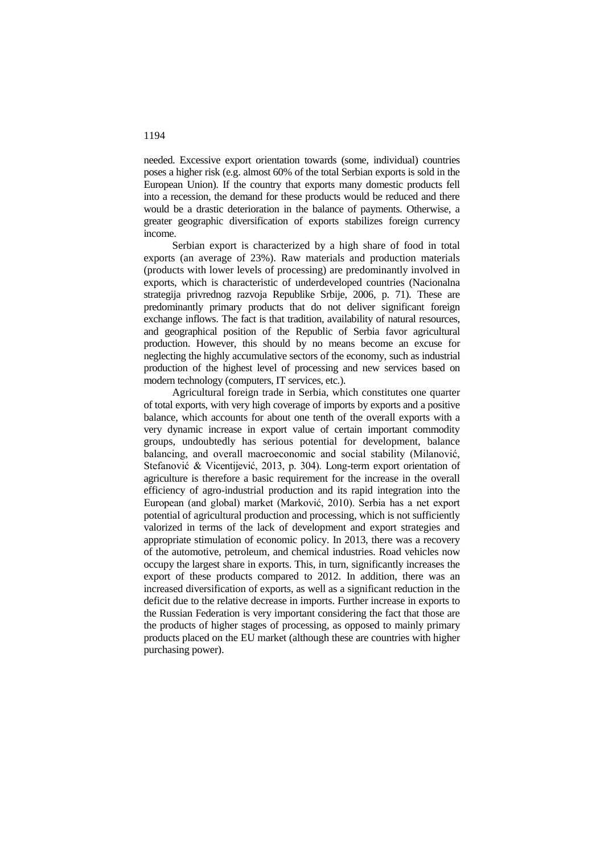needed. Excessive export orientation towards (some, individual) countries poses a higher risk (e.g. almost 60% of the total Serbian exports is sold in the European Union). If the country that exports many domestic products fell into a recession, the demand for these products would be reduced and there would be a drastic deterioration in the balance of payments. Otherwise, a greater geographic diversification of exports stabilizes foreign currency income.

Serbian export is characterized by a high share of food in total exports (an average of 23%). Raw materials and production materials (products with lower levels of processing) are predominantly involved in exports, which is characteristic of underdeveloped countries (Nacionalna strategija privrednog razvoja Republike Srbije, 2006, p. 71). These are predominantly primary products that do not deliver significant foreign exchange inflows. The fact is that tradition, availability of natural resources, and geographical position of the Republic of Serbia favor agricultural production. However, this should by no means become an excuse for neglecting the highly accumulative sectors of the economy, such as industrial production of the highest level of processing and new services based on modern technology (computers, IT services, etc.).

Agricultural foreign trade in Serbia, which constitutes one quarter of total exports, with very high coverage of imports by exports and a positive balance, which accounts for about one tenth of the overall exports with a very dynamic increase in export value of certain important commodity groups, undoubtedly has serious potential for development, balance balancing, and overall macroeconomic and social stability (Milanović, Stefanović & Vicentijević, 2013, p. 304). Long-term export orientation of agriculture is therefore a basic requirement for the increase in the overall efficiency of agro-industrial production and its rapid integration into the European (and global) market (Marković, 2010). Serbia has a net export potential of agricultural production and processing, which is not sufficiently valorized in terms of the lack of development and export strategies and appropriate stimulation of economic policy. In 2013, there was a recovery of the automotive, petroleum, and chemical industries. Road vehicles now occupy the largest share in exports. This, in turn, significantly increases the export of these products compared to 2012. In addition, there was an increased diversification of exports, as well as a significant reduction in the deficit due to the relative decrease in imports. Further increase in exports to the Russian Federation is very important considering the fact that those are the products of higher stages of processing, as opposed to mainly primary products placed on the EU market (although these are countries with higher purchasing power).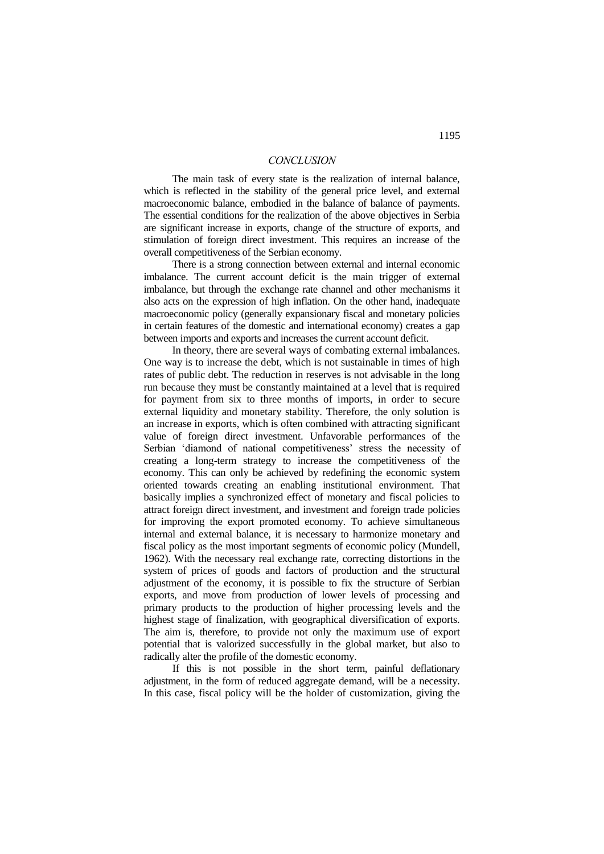### *CONCLUSION*

The main task of every state is the realization of internal balance, which is reflected in the stability of the general price level, and external macroeconomic balance, embodied in the balance of balance of payments. The essential conditions for the realization of the above objectives in Serbia are significant increase in exports, change of the structure of exports, and stimulation of foreign direct investment. This requires an increase of the overall competitiveness of the Serbian economy.

There is a strong connection between external and internal economic imbalance. The current account deficit is the main trigger of external imbalance, but through the exchange rate channel and other mechanisms it also acts on the expression of high inflation. On the other hand, inadequate macroeconomic policy (generally expansionary fiscal and monetary policies in certain features of the domestic and international economy) creates a gap between imports and exports and increases the current account deficit.

In theory, there are several ways of combating external imbalances. One way is to increase the debt, which is not sustainable in times of high rates of public debt. The reduction in reserves is not advisable in the long run because they must be constantly maintained at a level that is required for payment from six to three months of imports, in order to secure external liquidity and monetary stability. Therefore, the only solution is an increase in exports, which is often combined with attracting significant value of foreign direct investment. Unfavorable performances of the Serbian 'diamond of national competitiveness' stress the necessity of creating a long-term strategy to increase the competitiveness of the economy. This can only be achieved by redefining the economic system oriented towards creating an enabling institutional environment. That basically implies a synchronized effect of monetary and fiscal policies to attract foreign direct investment, and investment and foreign trade policies for improving the export promoted economy. To achieve simultaneous internal and external balance, it is necessary to harmonize monetary and fiscal policy as the most important segments of economic policy (Mundell, 1962). With the necessary real exchange rate, correcting distortions in the system of prices of goods and factors of production and the structural adjustment of the economy, it is possible to fix the structure of Serbian exports, and move from production of lower levels of processing and primary products to the production of higher processing levels and the highest stage of finalization, with geographical diversification of exports. The aim is, therefore, to provide not only the maximum use of export potential that is valorized successfully in the global market, but also to radically alter the profile of the domestic economy.

If this is not possible in the short term, painful deflationary adjustment, in the form of reduced aggregate demand, will be a necessity. In this case, fiscal policy will be the holder of customization, giving the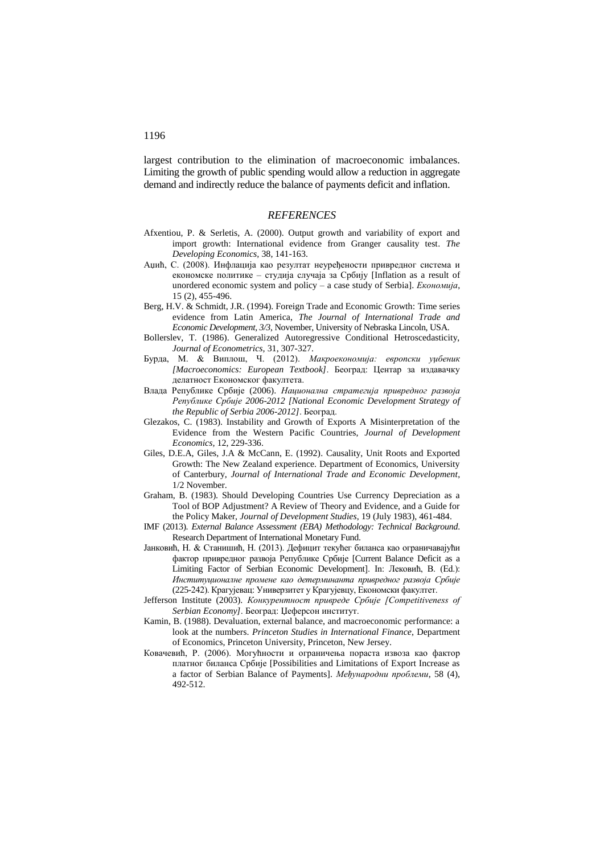largest contribution to the elimination of macroeconomic imbalances. Limiting the growth of public spending would allow a reduction in aggregate demand and indirectly reduce the balance of payments deficit and inflation.

#### *REFERENCES*

- Afxentiou, P. & Serletis, A. (2000). Output growth and variability of export and import growth: International evidence from Granger causality test. *The Developing Economics,* 38, 141-163.
- Аџић, С. (2008). Инфлација као резултат неуређености привредног система и економске политике – студија случаја за Србију [Inflation as a result of unordered economic system and policy – a case study of Serbia]. *Економија*, 15 (2), 455-496.
- Berg, H.V. & Schmidt, J.R. (1994). Foreign Trade and Economic Growth: Time series evidence from Latin America, *The Journal of International Trade and Economic Development, 3/3*, November, University of Nebraska Lincoln, USA.
- Bollerslev, T. (1986). Generalized Autoregressive Conditional Hetroscedasticity, *Journal of Econometrics,* 31, 307-327.
- Бурда, М. & Виплош, Ч. (2012). *Макроекономија: европски уџбеник [Macroeconomics: European Textbook]*. Београд: Центар за издавачку делатност Економског факултета.
- Влада Републике Србије (2006). *Национална стратегија привредног развоја Републике Србије 2006-2012 [National Economic Development Strategy of the Republic of Serbia 2006-2012]*. Београд.
- Glezakos, C. (1983). Instability and Growth of Exports A Misinterpretation of the Evidence from the Western Pacific Countries, *Journal of Development Economics,* 12, 229-336.
- Giles, D.E.A, Giles, J.A & McCann, E. (1992). Causality, Unit Roots and Exported Growth: The New Zealand experience. Department of Economics, University of Canterbury, *Journal of International Trade and Economic Development*, 1/2 November.
- Graham, B. (1983). Should Developing Countries Use Currency Depreciation as a Tool of BOP Adjustment? A Review of Theory and Evidence, and a Guide for the Policy Maker, *Journal of Development Studies*, 19 (July 1983), 461-484.
- IMF (2013). *External Balance Assessment (EBA) Methodology: Technical Background*. Research Department of International Monetary Fund.
- Јанковић, Н. & Станишић, Н. (2013). Дефицит текућег биланса као ограничавајући фактор привредног развоја Републике Србије [Current Balance Deficit as a Limiting Factor of Serbian Economic Development]. In: Лековић, В. (Ed.): *Институционалне промене као детерминанта привредног развоја Србије*  (225-242). Крагујевац: Универзитет у Крагујевцу, Економски факултет.
- Jefferson Institute (2003). *Конкурентност привреде Србије [Competitiveness of Serbian Economy]*. Београд: Џеферсон институт.
- Kamin, B. (1988). Devaluation, external balance, and macroeconomic performance: a look at the numbers. *Princeton Studies in International Finance*, Department of Economics, Princeton University, Princeton, New Jersey.
- Ковачевић, Р. (2006). Могућности и ограничења пораста извоза као фактор платног биланса Србије [Possibilities and Limitations of Export Increase as a factor of Serbian Balance of Payments]. *Међународни проблеми*, 58 (4), 492-512.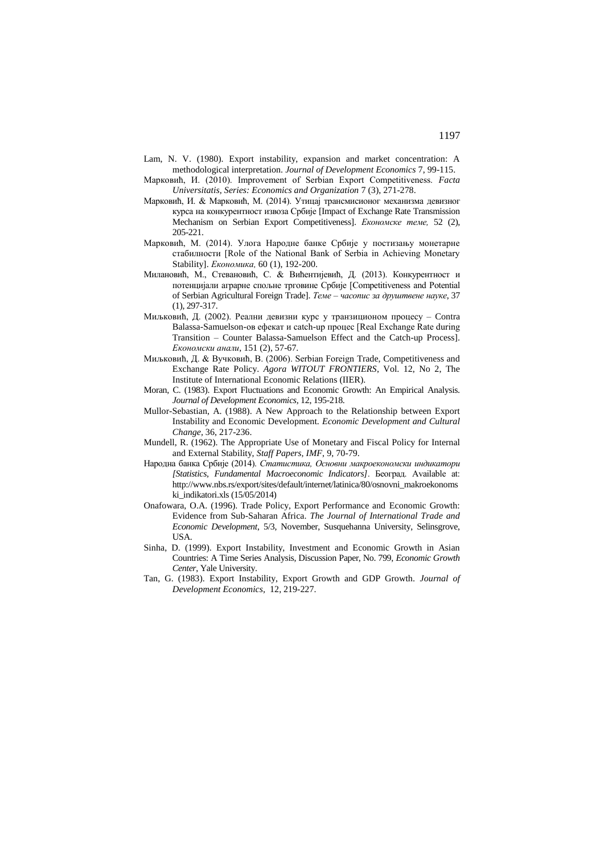- Lam, N. V. (1980). Export instability, expansion and market concentration: A methodological interpretation. *Journal of Development Economics* 7, 99-115.
- Марковић, И. (2010). Improvement of Serbian Export Competitiveness. *Facta Universitatis, Series: Economics and Organization* 7 (3), 271-278.
- Марковић, И. & Марковић, М. (2014). Утицај трансмисионог механизма девизног курса на конкурентност извоза Србије [Impact of Exchange Rate Transmission Mechanism on Serbian Export Competitiveness]. *Економске теме,* 52 (2), 205-221.
- Марковић, М. (2014). Улога Народне банке Србије у постизању монетарне стабилности [Role of the National Bank of Serbia in Achieving Monetary Stability]. *Економика,* 60 (1), 192-200.
- Милановић, М., Стевановић, С. & Вићентијевић, Д. (2013). Конкурентност и потенцијали аграрне спољне трговине Србије [Competitiveness and Potential of Serbian Agricultural Foreign Trade]. *Теме – часопис за друштвене науке*, 37 (1), 297-317.
- Миљковић, Д. (2002). Реални девизни курс у транзиционом процесу Contra Balassa-Samuelson-ов ефекат и catch-up процес [Real Exchange Rate during Transition – Counter Balassa-Samuelson Effect and the Catch-up Process]. *Економски анали*, 151 (2), 57-67.
- Миљковић, Д. & Вучковић, В. (2006). Serbian Foreign Trade, Competitiveness and Exchange Rate Policy. *Agora WITOUT FRONTIERS*, Vol. 12, No 2, The Institute of International Economic Relations (IIER).
- Moran, C. (1983). Export Fluctuations and Economic Growth: An Empirical Analysis. *Journal of Development Economics,* 12, 195-218.
- Mullor-Sebastian, A. (1988). A New Approach to the Relationship between Export Instability and Economic Development. *Economic Development and Cultural Change,* 36, 217-236.
- Mundell, R. (1962). The Appropriate Use of Monetary and Fiscal Policy for Internal and External Stability, *Staff Papers, IMF*, 9, 70-79.
- Народна банка Србије (2014). *Статистика, Основни макроекономски индикатори [Statistics, Fundamental Macroeconomic Indicators]*. Београд. Available at: [http://www.nbs.rs/export/sites/default/internet/latinica/80/osnovni\\_makroekonoms](http://www.nbs.rs/export/sites/default/internet/latinica/80/osnovni_makroekonomski_indikatori.xls) ki indikatori.xls  $(15/05/2014)$
- Onafowara, O.A. (1996). Trade Policy, Export Performance and Economic Growth: Evidence from Sub-Saharan Africa. *The Journal of International Trade and Economic Development*, 5/3, November, Susquehanna University, Selinsgrove, USA.
- Sinha, D. (1999). Export Instability, Investment and Economic Growth in Asian Countries: A Time Series Analysis, Discussion Paper, No. 799, *Economic Growth Center*, Yale University.
- Tan, G. (1983). Export Instability, Export Growth and GDP Growth. *Journal of Development Economics,* 12, 219-227.